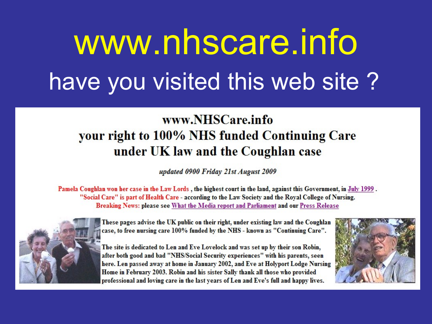# www.nhscare.info have you visited this web site?

### www.NHSCare.info your right to 100% NHS funded Continuing Care under UK law and the Coughlan case

updated 0900 Friday 21st August 2009

Pamela Coughlan won her case in the Law Lords, the highest court in the land, against this Government, in July 1999. "Social Care" is part of Health Care - according to the Law Society and the Royal College of Nursing. Breaking News: please see What the Media report and Parliament and our Press Release



These pages advise the UK public on their right, under existing law and the Coughlan case, to free nursing care 100% funded by the NHS - known as "Continuing Care".

The site is dedicated to Len and Eve Lovelock and was set up by their son Robin, after both good and bad "NHS/Social Security experiences" with his parents, seen here. Len passed away at home in January 2002, and Eve at Holyport Lodge Nursing Home in February 2003. Robin and his sister Sally thank all those who provided professional and loving care in the last years of Len and Eve's full and happy lives.

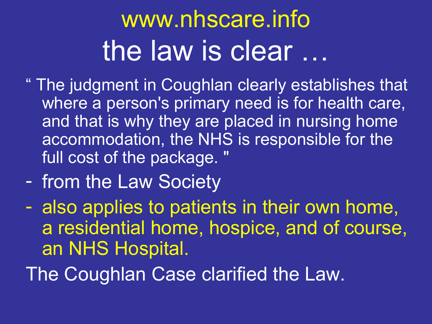# www.nhscare.info the law is clear …

- " The judgment in Coughlan clearly establishes that where a person's primary need is for health care, and that is why they are placed in nursing home accommodation, the NHS is responsible for the full cost of the package. "
- from the Law Society
- also applies to patients in their own home, a residential home, hospice, and of course, an NHS Hospital.

The Coughlan Case clarified the Law.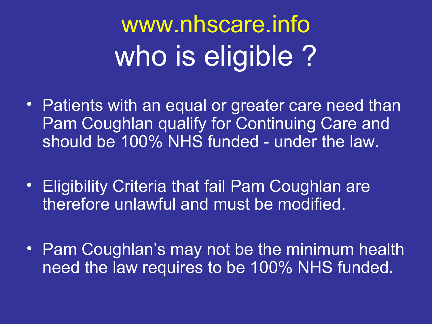www.nhscare.info who is eligible?

- Patients with an equal or greater care need than Pam Coughlan qualify for Continuing Care and should be 100% NHS funded - under the law.
- Eligibility Criteria that fail Pam Coughlan are therefore unlawful and must be modified.
- Pam Coughlan's may not be the minimum health need the law requires to be 100% NHS funded.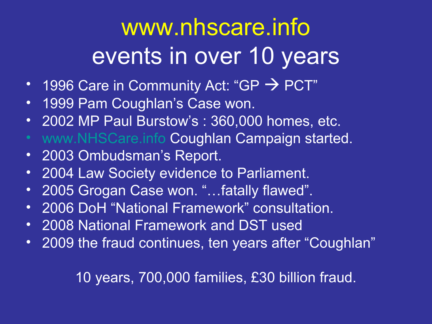## www.nhscare.info events in over 10 years

- 1996 Care in Community Act: "GP  $\rightarrow$  PCT"
- 1999 Pam Coughlan's Case won.
- 2002 MP Paul Burstow's : 360,000 homes, etc.
- [www.NHSCare.info](http://www.nhscare.info/) Coughlan Campaign started.
- 2003 Ombudsman's Report.
- 2004 Law Society evidence to Parliament.
- 2005 Grogan Case won. "…fatally flawed".
- 2006 DoH "National Framework" consultation.
- 2008 National Framework and DST used
- 2009 the fraud continues, ten years after "Coughlan"

### 10 years, 700,000 families, £30 billion fraud.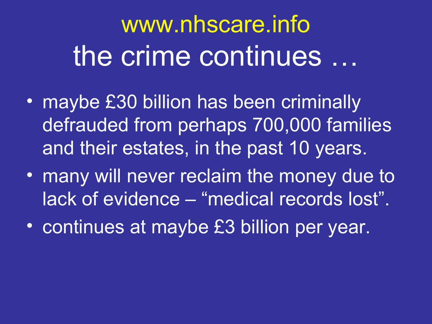# www.nhscare.info the crime continues …

- maybe £30 billion has been criminally defrauded from perhaps 700,000 families and their estates, in the past 10 years.
- many will never reclaim the money due to lack of evidence – "medical records lost".
- continues at maybe £3 billion per year.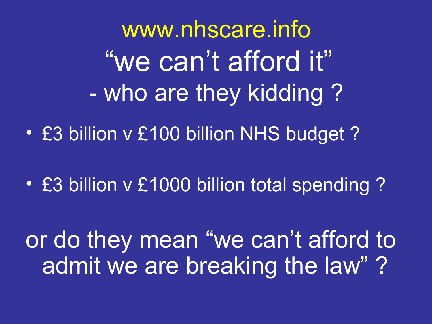[www.nhscare.info](http://www.nhscare.info/) "we can't afford it" - who are they kidding ?

• £3 billion v £100 billion NHS budget ?

• £3 billion v £1000 billion total spending ?

or do they mean "we can't afford to admit we are breaking the law" ?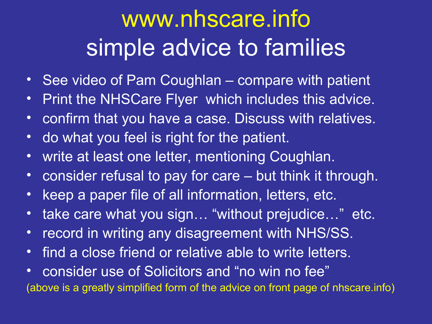## www.nhscare.info simple advice to families

- See video of Pam Coughlan compare with patient
- Print the NHSCare Flyer which includes this advice.
- confirm that you have a case. Discuss with relatives.
- do what you feel is right for the patient.
- write at least one letter, mentioning Coughlan.
- consider refusal to pay for care but think it through.
- keep a paper file of all information, letters, etc.
- take care what you sign... "without prejudice..." etc.
- record in writing any disagreement with NHS/SS.
- find a close friend or relative able to write letters.
- consider use of Solicitors and "no win no fee" (above is a greatly simplified form of the advice on front page of nhscare.info)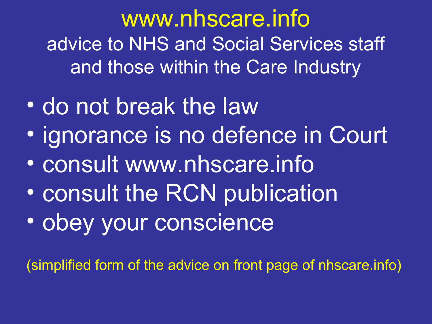www.nhscare.info advice to NHS and Social Services staff and those within the Care Industry

- do not break the law
- ignorance is no defence in Court
- consult www.nhscare.info
- consult the RCN publication
- obey your conscience

(simplified form of the advice on front page of nhscare.info)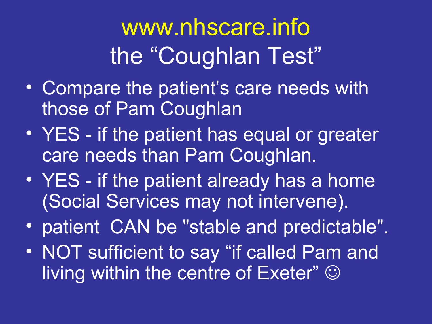# www.nhscare.info the "Coughlan Test"

- Compare the patient's care needs with those of Pam Coughlan
- YES if the patient has equal or greater care needs than Pam Coughlan.
- YES if the patient already has a home (Social Services may not intervene).
- patient CAN be "stable and predictable".
- NOT sufficient to say "if called Pam and living within the centre of Exeter"  $\odot$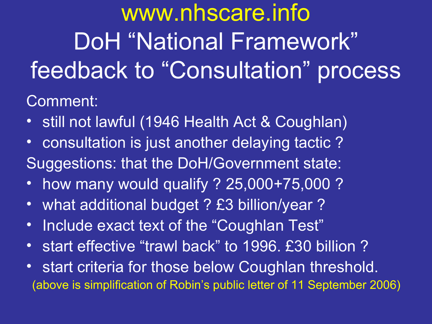www.nhscare.info DoH "National Framework" feedback to "Consultation" process

Comment:

- still not lawful (1946 Health Act & Coughlan)
- consultation is just another delaying tactic ? Suggestions: that the DoH/Government state:
- how many would qualify ? 25,000+75,000 ?
- what additional budget ? £3 billion/year ?
- Include exact text of the "Coughlan Test"
- start effective "trawl back" to 1996. £30 billion ?
- start criteria for those below Coughlan threshold. (above is simplification of Robin's public letter of 11 September 2006)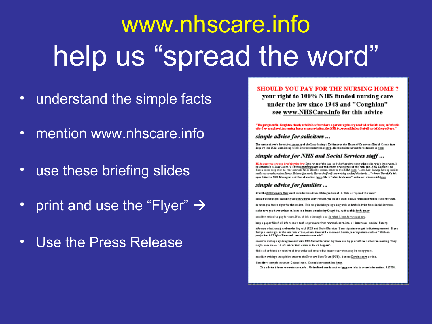# www.nhscare.info help us "spread the word"

- understand the simple facts  $\bullet$
- mention www.nhscare.info  $\bullet$
- use these briefing slides  $\bullet$
- print and use the "Flyer"  $\rightarrow$  $\bullet$
- Use the Press Release  $\bullet$

#### SHOULD VOU PAY FOR THE NURSING HOME?

your right to 100% NHS funded nursing care under the law since 1948 and "Coughlan" see www.NHSCare.info for this advice

"The judgmentin, Coughlan, deady establishes that where a person's primary need is for health care, and that is<br>why they are placed in numing home accommodation, the NRS is responsibled or the full cost of the padrage. "

#### simple advice for solicitors ...

The quate shave it from the <u>tummary</u> of the Law Seciety's Evidence to the Hause of Commans Health Committee.<br>In guiry into FIM Continuing Core. The full decument it here. More detailed advice for solicitors is here.

#### simple advice for NHS and Social Services staff...

Make sure you are not breaking the law. Ignorance of the law, and the fact that many others share this ignorance, is ne defence in a Law Court. Visit the a very express pape and tell athers around you of this web size. HES Dectors and<br>Consultants may with to read extracts from Derek's recent letter to the BMA hare. "... she Law Lockey ha undy og complainechacheran Brims (formerly Beres As Mord) are vriting underful orieria..." - from Dorok Co to's open letter to MES Managers and Social warkers here. Mare "whittle klawers" welcome: please click here.

#### simple advice for families ...

Printthe JIES Care into ther which includes this advice. Make good une of it. Help us "spread the word".

comultabeospage: including the every levels confirm that you have a case: discuss with close friends and relatives.

de what you feel is right for the patient. This way include going a long with us hwful advice from Social Services.

makesure pauhave written at least one letter, mentioning Cough bn, such as this draft letter.

consider refuse its pay for care. If so, this k through and do what a best for tho patient.

keep a paper file of all information such as printeuts from neww.niscare.info, all letters and medical history.

nke care v karjva sig a when des ling with BES and Social Services. Tour signature might, indicate agreement. If you foot you must aign, is the istoryou of the patient, then add a comment beside your signature such os " Without prejudice. All Rights Econved: see www.nhscsre.info\*

recordinavriting any disagreement with BES Social Services: by them and by yourself soon after the meeting. They might have chies. "If his not written down, it didn't happen".

find a clase friend ar relative skie to write and respond to letters over what may be many years.

cantider writings camp hint letter to the Primary Care Trust (PCT) - but see <u>Derek's pape</u> on this.

Cossider a complaint to the Omkudsman. Cansult her checklists here.

This advice is from www.nkscore.info. Underlined words such as here are links to more information. 310706.